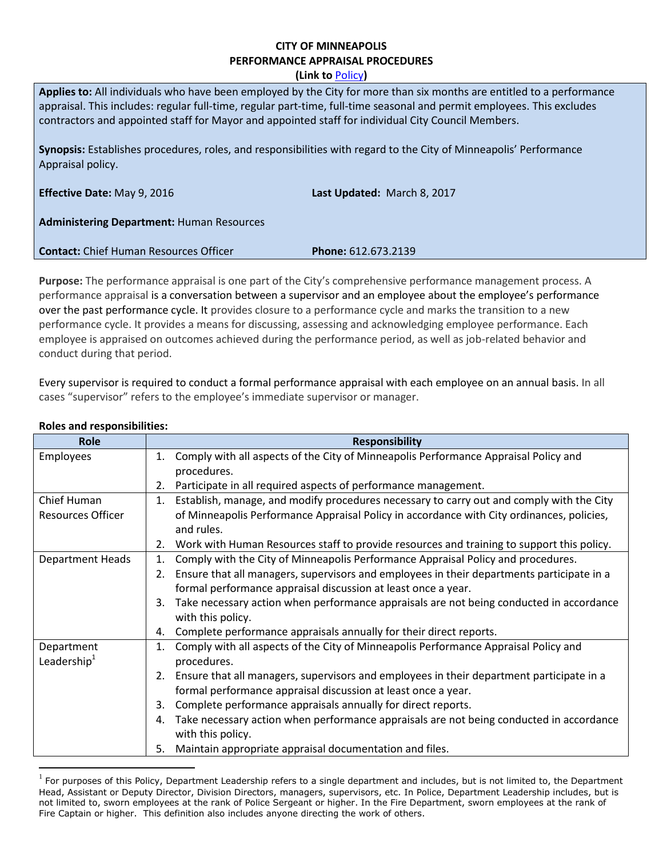# **CITY OF MINNEAPOLIS PERFORMANCE APPRAISAL PROCEDURES**

**(Link to** [Policy](http://www.minneapolismn.gov/www/groups/public/@hr/documents/webcontent/wcmsp-180365.pdf)**)**

| Applies to: All individuals who have been employed by the City for more than six months are entitled to a performance<br>appraisal. This includes: regular full-time, regular part-time, full-time seasonal and permit employees. This excludes<br>contractors and appointed staff for Mayor and appointed staff for individual City Council Members. |                             |  |  |
|-------------------------------------------------------------------------------------------------------------------------------------------------------------------------------------------------------------------------------------------------------------------------------------------------------------------------------------------------------|-----------------------------|--|--|
| Synopsis: Establishes procedures, roles, and responsibilities with regard to the City of Minneapolis' Performance<br>Appraisal policy.                                                                                                                                                                                                                |                             |  |  |
| <b>Effective Date: May 9, 2016</b>                                                                                                                                                                                                                                                                                                                    | Last Updated: March 8, 2017 |  |  |
| <b>Administering Department: Human Resources</b>                                                                                                                                                                                                                                                                                                      |                             |  |  |
| <b>Contact:</b> Chief Human Resources Officer                                                                                                                                                                                                                                                                                                         | <b>Phone: 612.673.2139</b>  |  |  |

**Purpose:** The performance appraisal is one part of the City's comprehensive performance management process. A performance appraisal is a conversation between a supervisor and an employee about the employee's performance over the past performance cycle. It provides closure to a performance cycle and marks the transition to a new performance cycle. It provides a means for discussing, assessing and acknowledging employee performance. Each employee is appraised on outcomes achieved during the performance period, as well as job-related behavior and conduct during that period.

Every supervisor is required to conduct a formal performance appraisal with each employee on an annual basis. In all cases "supervisor" refers to the employee's immediate supervisor or manager.

| Role                     | <b>Responsibility</b>                                                                           |  |
|--------------------------|-------------------------------------------------------------------------------------------------|--|
| Employees                | Comply with all aspects of the City of Minneapolis Performance Appraisal Policy and<br>1.       |  |
|                          | procedures.                                                                                     |  |
|                          | Participate in all required aspects of performance management.<br>2.                            |  |
| Chief Human              | Establish, manage, and modify procedures necessary to carry out and comply with the City<br>1.  |  |
| <b>Resources Officer</b> | of Minneapolis Performance Appraisal Policy in accordance with City ordinances, policies,       |  |
|                          | and rules.                                                                                      |  |
|                          | Work with Human Resources staff to provide resources and training to support this policy.<br>2. |  |
| <b>Department Heads</b>  | Comply with the City of Minneapolis Performance Appraisal Policy and procedures.<br>1.          |  |
|                          | Ensure that all managers, supervisors and employees in their departments participate in a<br>2. |  |
|                          | formal performance appraisal discussion at least once a year.                                   |  |
|                          | Take necessary action when performance appraisals are not being conducted in accordance<br>3.   |  |
|                          | with this policy.                                                                               |  |
|                          | Complete performance appraisals annually for their direct reports.<br>4.                        |  |
| Department               | Comply with all aspects of the City of Minneapolis Performance Appraisal Policy and<br>1.       |  |
| Leadership $1$           | procedures.                                                                                     |  |
|                          | Ensure that all managers, supervisors and employees in their department participate in a<br>2.  |  |
|                          | formal performance appraisal discussion at least once a year.                                   |  |
|                          | Complete performance appraisals annually for direct reports.<br>3.                              |  |
|                          | Take necessary action when performance appraisals are not being conducted in accordance<br>4.   |  |
|                          | with this policy.                                                                               |  |
|                          | Maintain appropriate appraisal documentation and files.<br>5.                                   |  |

### **Roles and responsibilities:**

 $\overline{a}$ 

 $1$  For purposes of this Policy, Department Leadership refers to a single department and includes, but is not limited to, the Department Head, Assistant or Deputy Director, Division Directors, managers, supervisors, etc. In Police, Department Leadership includes, but is not limited to, sworn employees at the rank of Police Sergeant or higher. In the Fire Department, sworn employees at the rank of Fire Captain or higher. This definition also includes anyone directing the work of others.